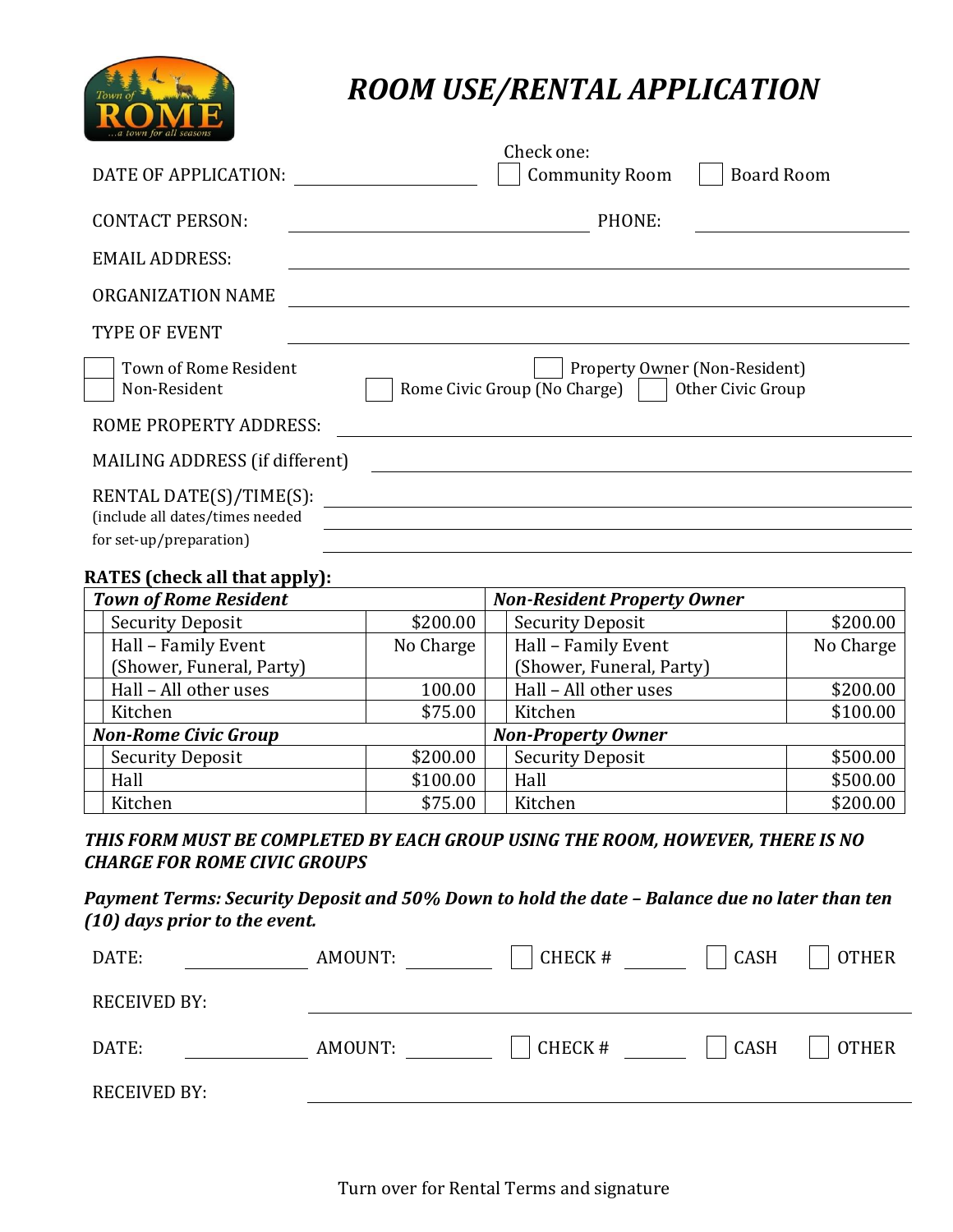

## *ROOM USE/RENTAL APPLICATION*

| DATE OF APPLICATION:                                                                                                                                                                                                                                               |                                                                                      | Check one:<br><b>Community Room</b>                                                           | <b>Board Room</b>    |  |  |
|--------------------------------------------------------------------------------------------------------------------------------------------------------------------------------------------------------------------------------------------------------------------|--------------------------------------------------------------------------------------|-----------------------------------------------------------------------------------------------|----------------------|--|--|
| <b>CONTACT PERSON:</b>                                                                                                                                                                                                                                             |                                                                                      | PHONE:                                                                                        |                      |  |  |
| <b>EMAIL ADDRESS:</b>                                                                                                                                                                                                                                              |                                                                                      |                                                                                               |                      |  |  |
| ORGANIZATION NAME                                                                                                                                                                                                                                                  |                                                                                      |                                                                                               |                      |  |  |
| <b>TYPE OF EVENT</b>                                                                                                                                                                                                                                               |                                                                                      |                                                                                               |                      |  |  |
| <b>Town of Rome Resident</b><br>Non-Resident                                                                                                                                                                                                                       | Property Owner (Non-Resident)<br>Rome Civic Group (No Charge)  <br>Other Civic Group |                                                                                               |                      |  |  |
| <b>ROME PROPERTY ADDRESS:</b>                                                                                                                                                                                                                                      |                                                                                      |                                                                                               |                      |  |  |
| MAILING ADDRESS (if different)                                                                                                                                                                                                                                     |                                                                                      |                                                                                               |                      |  |  |
| RENTAL DATE(S)/TIME(S):<br>(include all dates/times needed<br>for set-up/preparation)<br>RATES (check all that apply):                                                                                                                                             |                                                                                      |                                                                                               |                      |  |  |
| <b>Town of Rome Resident</b>                                                                                                                                                                                                                                       |                                                                                      | <b>Non-Resident Property Owner</b>                                                            |                      |  |  |
| <b>Security Deposit</b>                                                                                                                                                                                                                                            | \$200.00                                                                             | <b>Security Deposit</b>                                                                       | \$200.00             |  |  |
| Hall - Family Event                                                                                                                                                                                                                                                | No Charge                                                                            | Hall - Family Event                                                                           | No Charge            |  |  |
| (Shower, Funeral, Party)                                                                                                                                                                                                                                           |                                                                                      | (Shower, Funeral, Party)                                                                      |                      |  |  |
| Hall - All other uses                                                                                                                                                                                                                                              | 100.00                                                                               | Hall - All other uses                                                                         | \$200.00             |  |  |
| Kitchen                                                                                                                                                                                                                                                            | \$75.00                                                                              | Kitchen                                                                                       | \$100.00             |  |  |
| <b>Non-Rome Civic Group</b>                                                                                                                                                                                                                                        |                                                                                      | <b>Non-Property Owner</b>                                                                     |                      |  |  |
| <b>Security Deposit</b>                                                                                                                                                                                                                                            | \$200.00                                                                             | <b>Security Deposit</b>                                                                       | \$500.00             |  |  |
| Hall                                                                                                                                                                                                                                                               | \$100.00                                                                             | Hall                                                                                          | \$500.00             |  |  |
| Kitchen                                                                                                                                                                                                                                                            | \$75.00                                                                              | Kitchen                                                                                       | \$200.00             |  |  |
| THIS FORM MUST BE COMPLETED BY EACH GROUP USING THE ROOM, HOWEVER, THERE IS NO<br><b>CHARGE FOR ROME CIVIC GROUPS</b><br>Payment Terms: Security Deposit and 50% Down to hold the date - Balance due no later than ten<br>$(10)$ days prior to the event.<br>DATE: |                                                                                      | $\begin{array}{c c} \hline \end{array}$ AMOUNT: $\begin{array}{c} \hline \end{array}$ CHECK # | CASH<br><b>OTHER</b> |  |  |
| <b>RECEIVED BY:</b>                                                                                                                                                                                                                                                |                                                                                      |                                                                                               |                      |  |  |

| DATE:               | AMOUNT: | CHECK# | CASH | <b>OTHER</b> |
|---------------------|---------|--------|------|--------------|
| <b>RECEIVED BY:</b> |         |        |      |              |